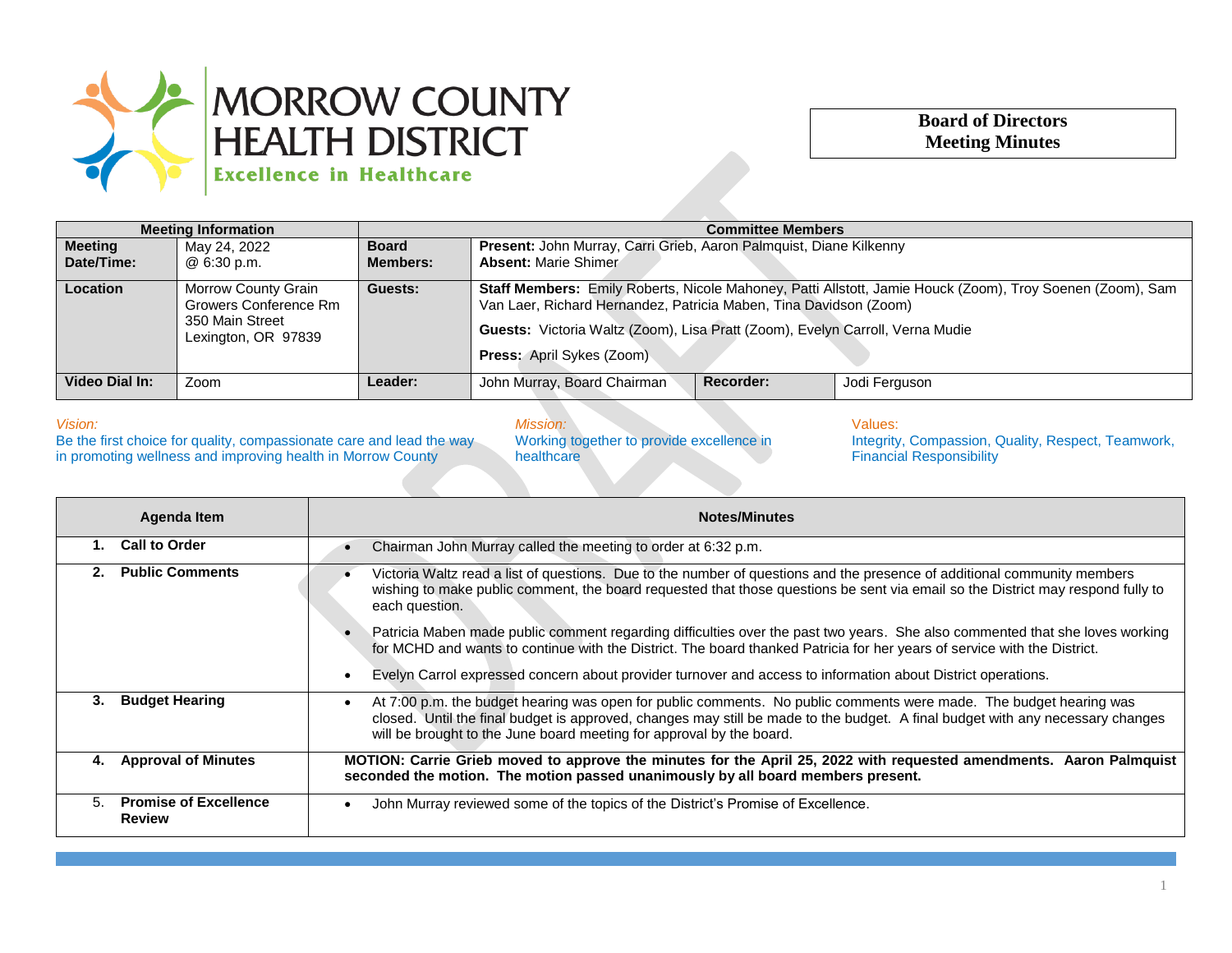

## **Board of Directors Meeting Minutes**

| <b>Meeting Information</b> |                                                                                        | <b>Committee Members</b>        |                                                                                                                                                                                                                                                                                              |  |
|----------------------------|----------------------------------------------------------------------------------------|---------------------------------|----------------------------------------------------------------------------------------------------------------------------------------------------------------------------------------------------------------------------------------------------------------------------------------------|--|
| Meeting<br>Date/Time:      | May 24, 2022<br>@ 6:30 p.m.                                                            | <b>Board</b><br><b>Members:</b> | Present: John Murray, Carri Grieb, Aaron Palmquist, Diane Kilkenny<br><b>Absent: Marie Shimer</b>                                                                                                                                                                                            |  |
| <b>Location</b>            | Morrow County Grain<br>Growers Conference Rm<br>350 Main Street<br>Lexington, OR 97839 | Guests:                         | Staff Members: Emily Roberts, Nicole Mahoney, Patti Allstott, Jamie Houck (Zoom), Troy Soenen (Zoom), Sam<br>Van Laer, Richard Hernandez, Patricia Maben, Tina Davidson (Zoom)<br>Guests: Victoria Waltz (Zoom), Lisa Pratt (Zoom), Evelyn Carroll, Verna Mudie<br>Press: April Sykes (Zoom) |  |
| Video Dial In:             | Zoom                                                                                   | Leader:                         | John Murray, Board Chairman<br>Recorder:<br>Jodi Ferguson                                                                                                                                                                                                                                    |  |

## *Vision:*

Be the first choice for quality, compassionate care and lead the way in promoting wellness and improving health in Morrow County

*Mission:*

Working together to provide excellence in healthcare

Values:

Integrity, Compassion, Quality, Respect, Teamwork, Financial Responsibility

| Agenda Item |                                               | <b>Notes/Minutes</b>                                                                                                                                                                                                                                                                                                                      |  |
|-------------|-----------------------------------------------|-------------------------------------------------------------------------------------------------------------------------------------------------------------------------------------------------------------------------------------------------------------------------------------------------------------------------------------------|--|
| 1.          | <b>Call to Order</b>                          | Chairman John Murray called the meeting to order at 6:32 p.m.                                                                                                                                                                                                                                                                             |  |
| 2.          | <b>Public Comments</b>                        | Victoria Waltz read a list of questions. Due to the number of questions and the presence of additional community members<br>wishing to make public comment, the board requested that those questions be sent via email so the District may respond fully to<br>each question.                                                             |  |
|             |                                               | Patricia Maben made public comment regarding difficulties over the past two years. She also commented that she loves working<br>for MCHD and wants to continue with the District. The board thanked Patricia for her years of service with the District.                                                                                  |  |
|             |                                               | Evelyn Carrol expressed concern about provider turnover and access to information about District operations.<br>$\bullet$                                                                                                                                                                                                                 |  |
| 3.          | <b>Budget Hearing</b>                         | At 7:00 p.m. the budget hearing was open for public comments. No public comments were made. The budget hearing was<br>$\bullet$<br>closed. Until the final budget is approved, changes may still be made to the budget. A final budget with any necessary changes<br>will be brought to the June board meeting for approval by the board. |  |
| 4.          | <b>Approval of Minutes</b>                    | MOTION: Carrie Grieb moved to approve the minutes for the April 25, 2022 with requested amendments. Aaron Palmquist<br>seconded the motion. The motion passed unanimously by all board members present.                                                                                                                                   |  |
| 5.          | <b>Promise of Excellence</b><br><b>Review</b> | John Murray reviewed some of the topics of the District's Promise of Excellence.                                                                                                                                                                                                                                                          |  |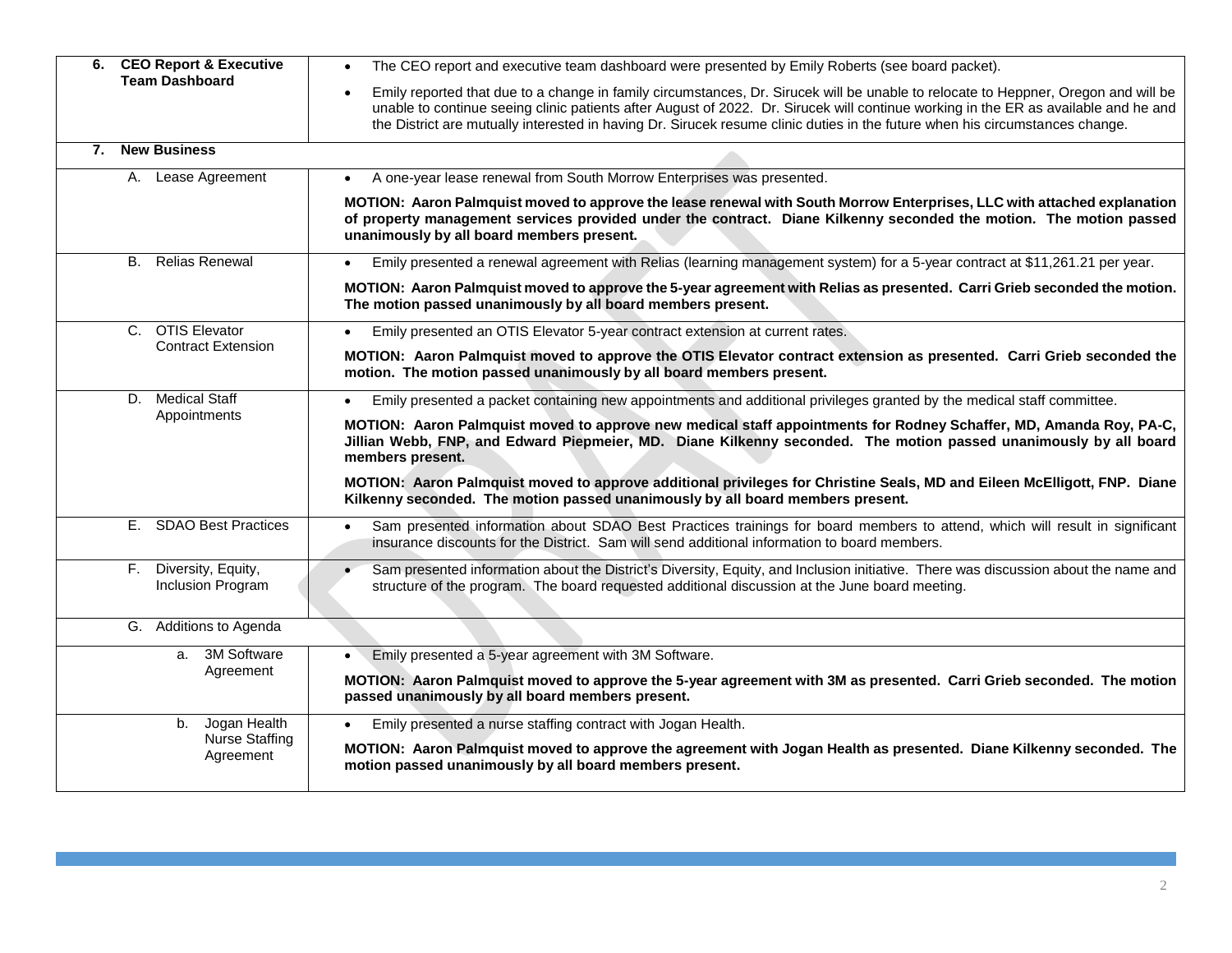| 6. CEO Report & Executive                     | The CEO report and executive team dashboard were presented by Emily Roberts (see board packet).<br>$\bullet$                                                                                                                                                                                                                                                                                              |
|-----------------------------------------------|-----------------------------------------------------------------------------------------------------------------------------------------------------------------------------------------------------------------------------------------------------------------------------------------------------------------------------------------------------------------------------------------------------------|
| <b>Team Dashboard</b>                         | Emily reported that due to a change in family circumstances, Dr. Sirucek will be unable to relocate to Heppner, Oregon and will be<br>unable to continue seeing clinic patients after August of 2022. Dr. Sirucek will continue working in the ER as available and he and<br>the District are mutually interested in having Dr. Sirucek resume clinic duties in the future when his circumstances change. |
| <b>New Business</b><br>7.                     |                                                                                                                                                                                                                                                                                                                                                                                                           |
| Lease Agreement<br>А.                         | A one-year lease renewal from South Morrow Enterprises was presented.<br>$\bullet$                                                                                                                                                                                                                                                                                                                        |
|                                               | MOTION: Aaron Palmquist moved to approve the lease renewal with South Morrow Enterprises, LLC with attached explanation<br>of property management services provided under the contract. Diane Kilkenny seconded the motion. The motion passed<br>unanimously by all board members present.                                                                                                                |
| <b>B.</b> Relias Renewal                      | Emily presented a renewal agreement with Relias (learning management system) for a 5-year contract at \$11,261.21 per year.<br>$\bullet$                                                                                                                                                                                                                                                                  |
|                                               | MOTION: Aaron Palmquist moved to approve the 5-year agreement with Relias as presented. Carri Grieb seconded the motion.<br>The motion passed unanimously by all board members present.                                                                                                                                                                                                                   |
| C. OTIS Elevator                              | Emily presented an OTIS Elevator 5-year contract extension at current rates.                                                                                                                                                                                                                                                                                                                              |
| <b>Contract Extension</b>                     | MOTION: Aaron Palmquist moved to approve the OTIS Elevator contract extension as presented. Carri Grieb seconded the<br>motion. The motion passed unanimously by all board members present.                                                                                                                                                                                                               |
| <b>Medical Staff</b><br>D.                    | Emily presented a packet containing new appointments and additional privileges granted by the medical staff committee.                                                                                                                                                                                                                                                                                    |
| Appointments                                  | MOTION: Aaron Palmquist moved to approve new medical staff appointments for Rodney Schaffer, MD, Amanda Roy, PA-C,<br>Jillian Webb, FNP, and Edward Piepmeier, MD. Diane Kilkenny seconded. The motion passed unanimously by all board<br>members present.                                                                                                                                                |
|                                               | MOTION: Aaron Palmquist moved to approve additional privileges for Christine Seals, MD and Eileen McElligott, FNP. Diane<br>Kilkenny seconded. The motion passed unanimously by all board members present.                                                                                                                                                                                                |
| E. SDAO Best Practices                        | Sam presented information about SDAO Best Practices trainings for board members to attend, which will result in significant<br>insurance discounts for the District. Sam will send additional information to board members.                                                                                                                                                                               |
| Diversity, Equity,<br>F.<br>Inclusion Program | Sam presented information about the District's Diversity, Equity, and Inclusion initiative. There was discussion about the name and<br>structure of the program. The board requested additional discussion at the June board meeting.                                                                                                                                                                     |
| G. Additions to Agenda                        |                                                                                                                                                                                                                                                                                                                                                                                                           |
| 3M Software<br>a.                             | Emily presented a 5-year agreement with 3M Software.                                                                                                                                                                                                                                                                                                                                                      |
| Agreement                                     | MOTION: Aaron Palmquist moved to approve the 5-year agreement with 3M as presented. Carri Grieb seconded. The motion<br>passed unanimously by all board members present.                                                                                                                                                                                                                                  |
| Jogan Health<br>b.                            | Emily presented a nurse staffing contract with Jogan Health.                                                                                                                                                                                                                                                                                                                                              |
| <b>Nurse Staffing</b><br>Agreement            | MOTION: Aaron Palmquist moved to approve the agreement with Jogan Health as presented. Diane Kilkenny seconded. The<br>motion passed unanimously by all board members present.                                                                                                                                                                                                                            |